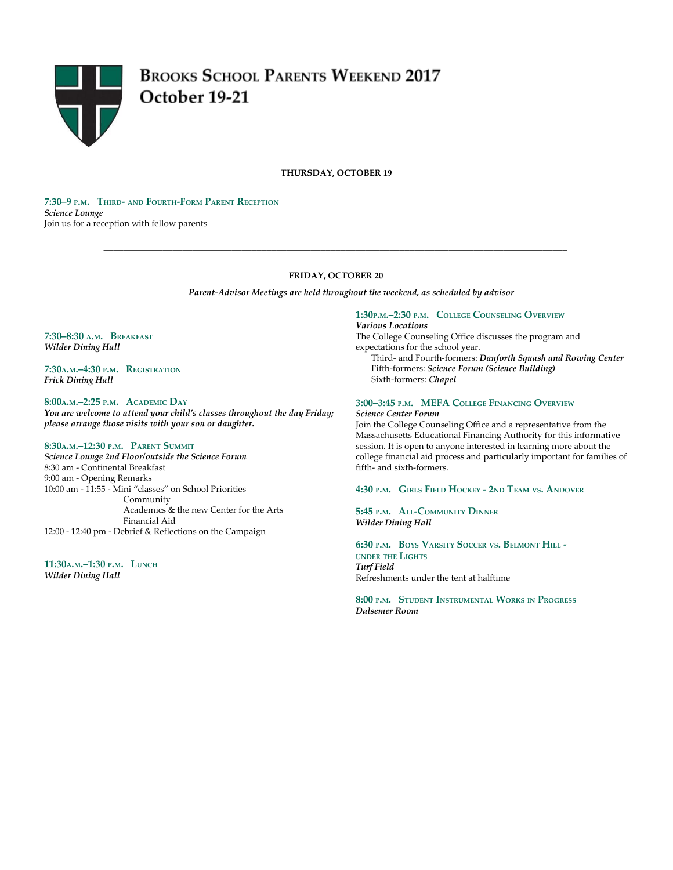

#### **THURSDAY, OCTOBER 19**

**7:30–9 P.M. THIRD- AND FOURTH-FORM PARENT RECEPTION** *Science Lounge* Join us for a reception with fellow parents

### **FRIDAY, OCTOBER 20**

*\_\_\_\_\_\_\_\_\_\_\_\_\_\_\_\_\_\_\_\_\_\_\_\_\_\_\_\_\_\_\_\_\_\_\_\_\_\_\_\_\_\_\_\_\_\_\_\_\_\_\_\_\_\_\_\_\_\_\_\_\_\_\_\_\_\_\_\_\_\_\_\_\_\_\_\_\_\_\_\_\_\_\_\_\_\_\_\_\_\_\_\_\_\_*

*Parent-Advisor Meetings are held throughout the weekend, as scheduled by advisor*

**7:30–8:30 A.M. BREAKFAST** *Wilder Dining Hall*

**7:30A.M.–4:30 P.M. REGISTRATION** *Frick Dining Hall*

**8:00A.M.–2:25 P.M. ACADEMIC DAY** *You are welcome to attend your child's classes throughout the day Friday; please arrange those visits with your son or daughter.*

#### **8:30A.M.–12:30 P.M. PARENT SUMMIT**

*Science Lounge 2nd Floor/outside the Science Forum* 8:30 am - Continental Breakfast 9:00 am - Opening Remarks 10:00 am - 11:55 - Mini "classes" on School Priorities Community Academics & the new Center for the Arts Financial Aid 12:00 - 12:40 pm - Debrief & Reflections on the Campaign

**11:30A.M.–1:30 P.M. LUNCH** *Wilder Dining Hall*

# **1:30P.M.–2:30 P.M. COLLEGE COUNSELING OVERVIEW**

*Various Locations* The College Counseling Office discusses the program and expectations for the school year.

Third- and Fourth-formers: *Danforth Squash and Rowing Center* Fifth-formers: *Science Forum (Science Building)* Sixth-formers: *Chapel*

#### **3:00–3:45 P.M. MEFA COLLEGE FINANCING OVERVIEW** *Science Center Forum*

Join the College Counseling Office and a representative from the Massachusetts Educational Financing Authority for this informative session. It is open to anyone interested in learning more about the college financial aid process and particularly important for families of fifth- and sixth-formers.

**4:30 P.M. GIRLS FIELD HOCKEY - 2ND TEAM VS. ANDOVER**

**5:45 P.M. ALL-COMMUNITY DINNER** *Wilder Dining Hall*

**6:30 P.M. BOYS VARSITY SOCCER VS. BELMONT HILL - UNDER THE LIGHTS** *Turf Field* Refreshments under the tent at halftime

**8:00 P.M. STUDENT INSTRUMENTAL WORKS IN PROGRESS** *Dalsemer Room*